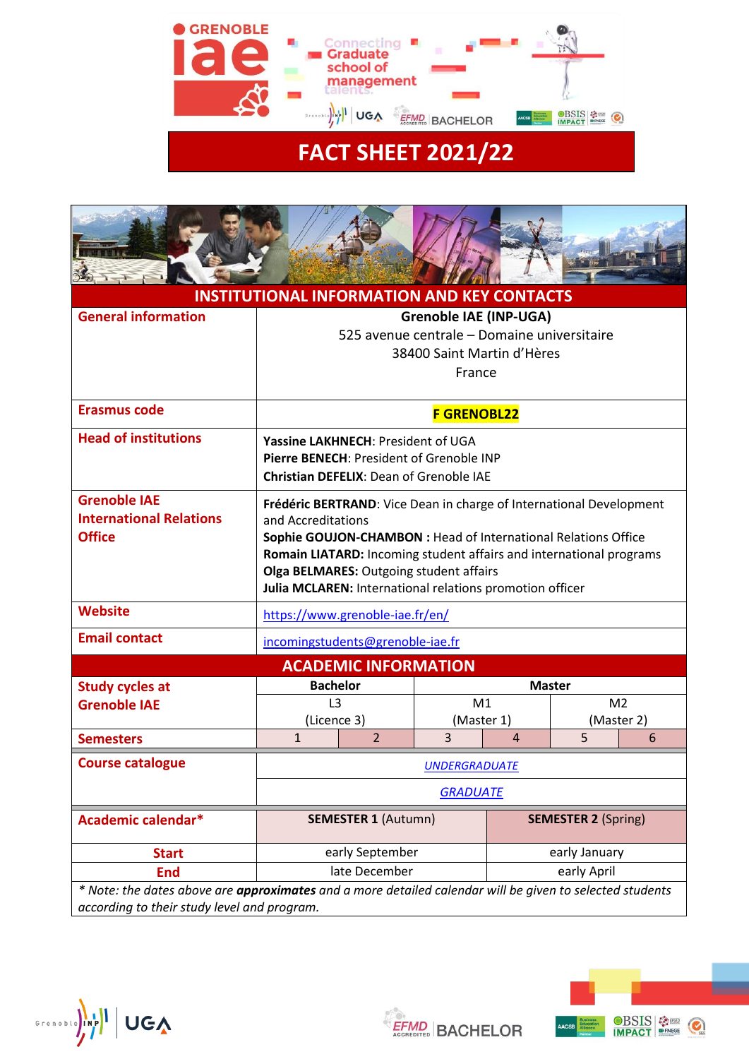

# 35

| <b>INSTITUTIONAL INFORMATION AND KEY CONTACTS</b>                                                                                                       |                                                                                                                                                                                                                                                                                                                                           |                |                |                            |   |            |
|---------------------------------------------------------------------------------------------------------------------------------------------------------|-------------------------------------------------------------------------------------------------------------------------------------------------------------------------------------------------------------------------------------------------------------------------------------------------------------------------------------------|----------------|----------------|----------------------------|---|------------|
| <b>General information</b>                                                                                                                              | <b>Grenoble IAE (INP-UGA)</b><br>525 avenue centrale - Domaine universitaire<br>38400 Saint Martin d'Hères<br>France                                                                                                                                                                                                                      |                |                |                            |   |            |
| <b>Erasmus code</b>                                                                                                                                     | <b>F GRENOBL22</b>                                                                                                                                                                                                                                                                                                                        |                |                |                            |   |            |
| <b>Head of institutions</b>                                                                                                                             | <b>Yassine LAKHNECH: President of UGA</b><br>Pierre BENECH: President of Grenoble INP<br><b>Christian DEFELIX: Dean of Grenoble IAE</b>                                                                                                                                                                                                   |                |                |                            |   |            |
| <b>Grenoble IAE</b><br><b>International Relations</b><br><b>Office</b>                                                                                  | Frédéric BERTRAND: Vice Dean in charge of International Development<br>and Accreditations<br>Sophie GOUJON-CHAMBON : Head of International Relations Office<br>Romain LIATARD: Incoming student affairs and international programs<br>Olga BELMARES: Outgoing student affairs<br>Julia MCLAREN: International relations promotion officer |                |                |                            |   |            |
| <b>Website</b>                                                                                                                                          | https://www.grenoble-iae.fr/en/                                                                                                                                                                                                                                                                                                           |                |                |                            |   |            |
| <b>Email contact</b>                                                                                                                                    | incomingstudents@grenoble-iae.fr                                                                                                                                                                                                                                                                                                          |                |                |                            |   |            |
| <b>ACADEMIC INFORMATION</b>                                                                                                                             |                                                                                                                                                                                                                                                                                                                                           |                |                |                            |   |            |
| <b>Study cycles at</b>                                                                                                                                  | <b>Bachelor</b>                                                                                                                                                                                                                                                                                                                           |                | <b>Master</b>  |                            |   |            |
| <b>Grenoble IAE</b>                                                                                                                                     | L <sub>3</sub><br>M1                                                                                                                                                                                                                                                                                                                      |                | M <sub>2</sub> |                            |   |            |
|                                                                                                                                                         |                                                                                                                                                                                                                                                                                                                                           | (Licence 3)    | (Master 1)     |                            |   | (Master 2) |
| <b>Semesters</b>                                                                                                                                        | $\overline{1}$                                                                                                                                                                                                                                                                                                                            | $\overline{2}$ | $\overline{3}$ | 4                          | 5 | 6          |
| <b>Course catalogue</b>                                                                                                                                 | <b>UNDERGRADUATE</b>                                                                                                                                                                                                                                                                                                                      |                |                |                            |   |            |
|                                                                                                                                                         | <b>GRADUATE</b>                                                                                                                                                                                                                                                                                                                           |                |                |                            |   |            |
| Academic calendar*                                                                                                                                      | <b>SEMESTER 1 (Autumn)</b>                                                                                                                                                                                                                                                                                                                |                |                | <b>SEMESTER 2 (Spring)</b> |   |            |
| <b>Start</b>                                                                                                                                            | early September                                                                                                                                                                                                                                                                                                                           |                |                | early January              |   |            |
| <b>End</b>                                                                                                                                              | late December                                                                                                                                                                                                                                                                                                                             |                |                | early April                |   |            |
| * Note: the dates above are approximates and a more detailed calendar will be given to selected students<br>according to their study level and program. |                                                                                                                                                                                                                                                                                                                                           |                |                |                            |   |            |

**EFMD** BACHELOR



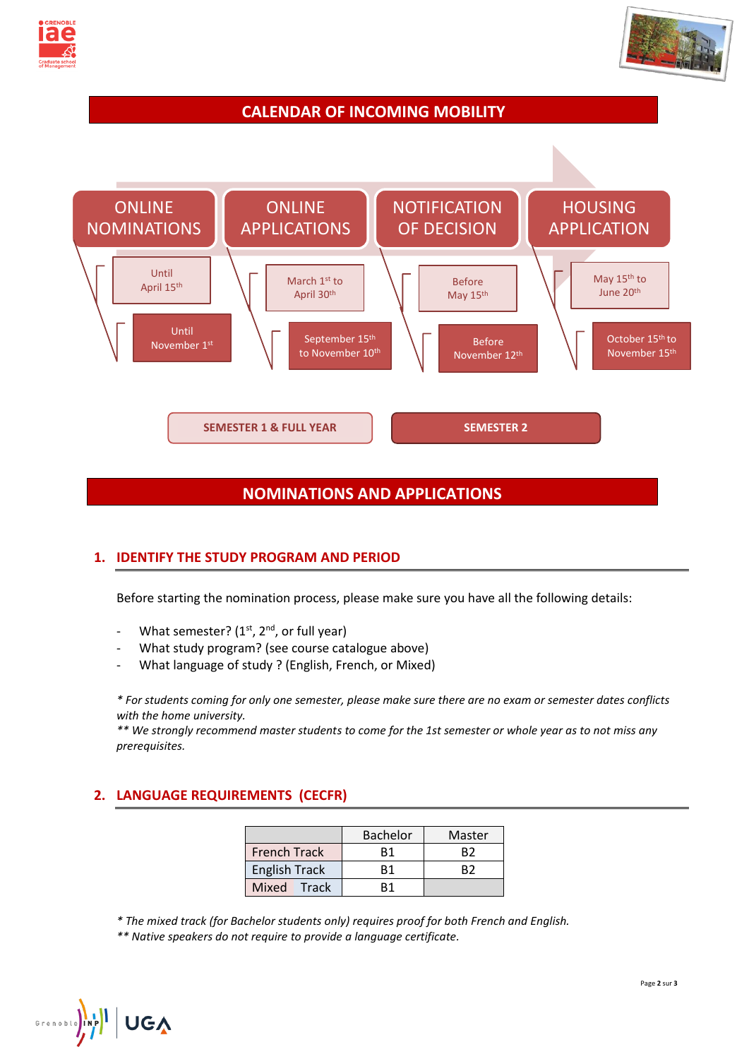



# **CALENDAR OF INCOMING MOBILITY**



## **NOMINATIONS AND APPLICATIONS**

### **1. IDENTIFY THE STUDY PROGRAM AND PERIOD**

Before starting the nomination process, please make sure you have all the following details:

- What semester?  $(1<sup>st</sup>, 2<sup>nd</sup>)$ , or full year)
- What study program? (see course catalogue above)
- What language of study ? (English, French, or Mixed)

*\* For students coming for only one semester, please make sure there are no exam or semester dates conflicts with the home university.* 

*\*\* We strongly recommend master students to come for the 1st semester or whole year as to not miss any prerequisites.*

## **2. LANGUAGE REQUIREMENTS (CECFR)**

|                      | <b>Bachelor</b> | Master |
|----------------------|-----------------|--------|
| <b>French Track</b>  | R1              | R7     |
| <b>English Track</b> | R1              |        |
| Mixed Track          |                 |        |

*\* The mixed track (for Bachelor students only) requires proof for both French and English.*

*\*\* Native speakers do not require to provide a language certificate.*